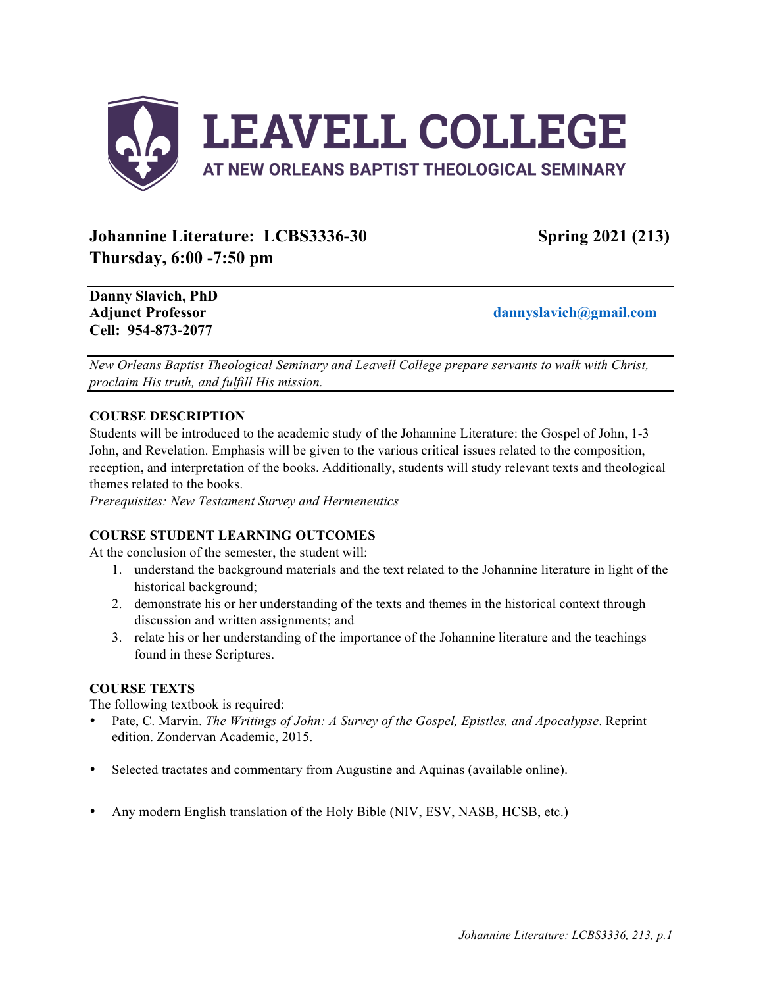

# **Johannine Literature: LCBS3336-30 Spring 2021 (213) Thursday, 6:00 -7:50 pm**

**Danny Slavich, PhD Cell: 954-873-2077**

**Adjunct Professor dannyslavich@gmail.com**

*New Orleans Baptist Theological Seminary and Leavell College prepare servants to walk with Christ, proclaim His truth, and fulfill His mission.*

# **COURSE DESCRIPTION**

Students will be introduced to the academic study of the Johannine Literature: the Gospel of John, 1-3 John, and Revelation. Emphasis will be given to the various critical issues related to the composition, reception, and interpretation of the books. Additionally, students will study relevant texts and theological themes related to the books.

*Prerequisites: New Testament Survey and Hermeneutics*

# **COURSE STUDENT LEARNING OUTCOMES**

At the conclusion of the semester, the student will:

- 1. understand the background materials and the text related to the Johannine literature in light of the historical background;
- 2. demonstrate his or her understanding of the texts and themes in the historical context through discussion and written assignments; and
- 3. relate his or her understanding of the importance of the Johannine literature and the teachings found in these Scriptures.

# **COURSE TEXTS**

The following textbook is required:

- Pate, C. Marvin. *The Writings of John: A Survey of the Gospel, Epistles, and Apocalypse*. Reprint edition. Zondervan Academic, 2015.
- Selected tractates and commentary from Augustine and Aquinas (available online).
- Any modern English translation of the Holy Bible (NIV, ESV, NASB, HCSB, etc.)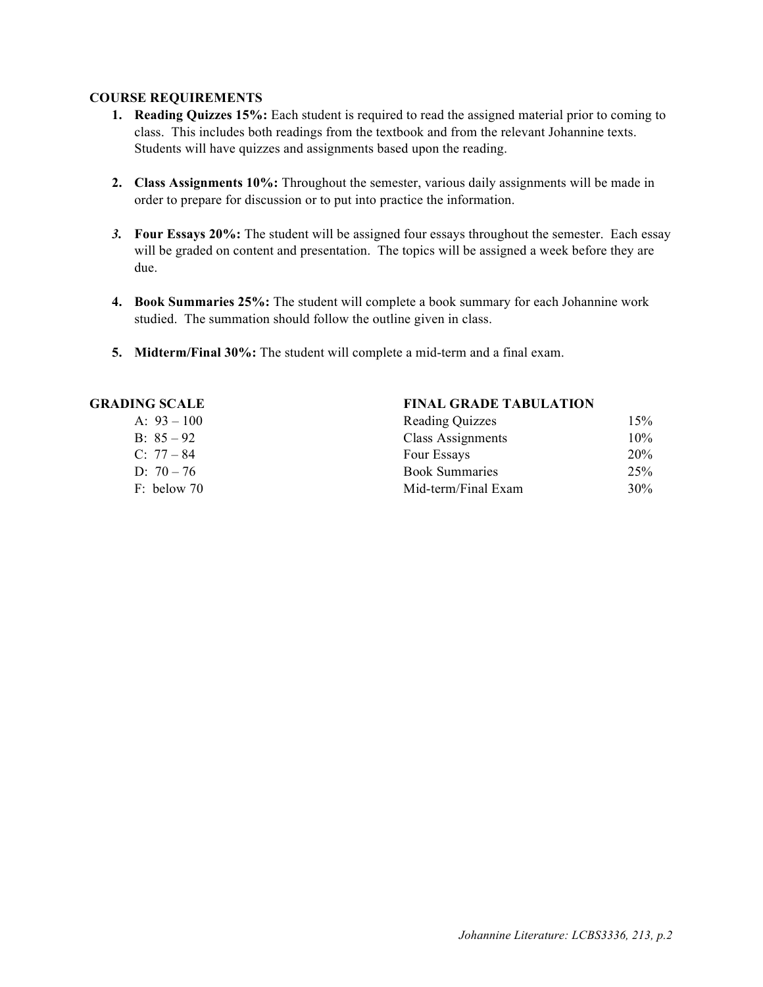# **COURSE REQUIREMENTS**

- **1. Reading Quizzes 15%:** Each student is required to read the assigned material prior to coming to class. This includes both readings from the textbook and from the relevant Johannine texts. Students will have quizzes and assignments based upon the reading.
- **2. Class Assignments 10%:** Throughout the semester, various daily assignments will be made in order to prepare for discussion or to put into practice the information.
- *3.* **Four Essays 20%:** The student will be assigned four essays throughout the semester. Each essay will be graded on content and presentation. The topics will be assigned a week before they are due.
- **4. Book Summaries 25%:** The student will complete a book summary for each Johannine work studied. The summation should follow the outline given in class.
- **5. Midterm/Final 30%:** The student will complete a mid-term and a final exam.

| A: $93 - 100$ |  |
|---------------|--|
| B: $85 - 92$  |  |
| $C: 77 - 84$  |  |
| D: $70 - 76$  |  |
| $F+$ helow 70 |  |

### **GRADING SCALE FINAL GRADE TABULATION**

| Reading Quizzes       |     |
|-----------------------|-----|
| Class Assignments     | 10% |
| Four Essays           | 20% |
| <b>Book Summaries</b> | 25% |
| Mid-term/Final Exam   | 30% |
|                       |     |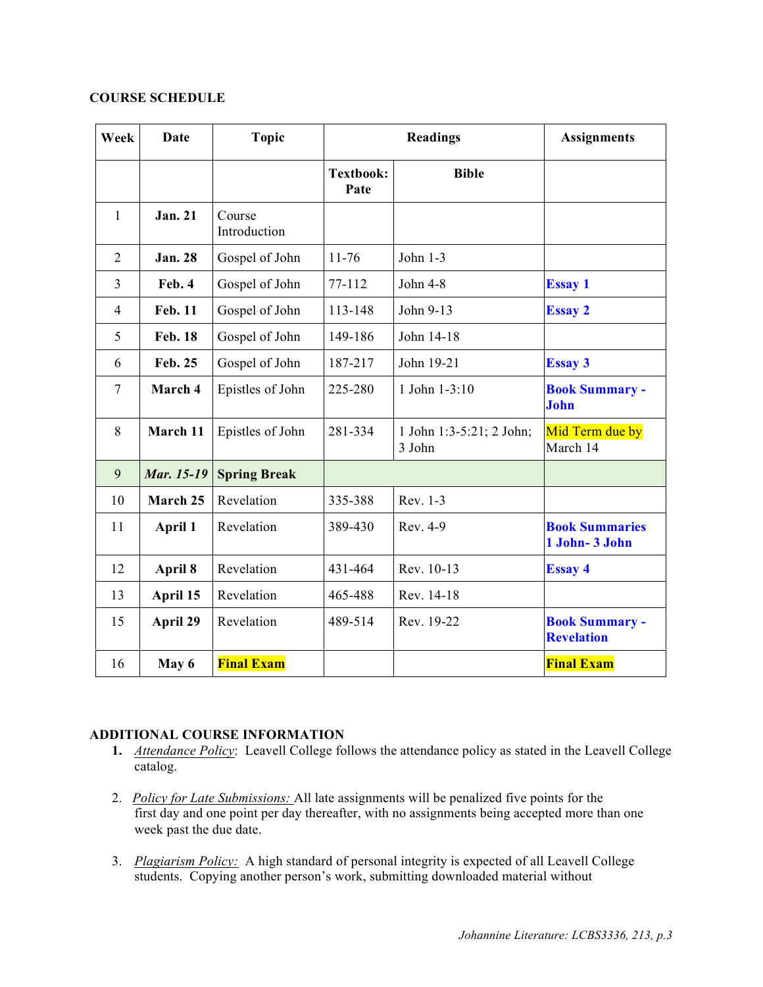# **COURSE SCHEDULE**

| Week           | <b>Date</b>       | <b>Topic</b>           | <b>Readings</b>          |                                    | <b>Assignments</b>                         |
|----------------|-------------------|------------------------|--------------------------|------------------------------------|--------------------------------------------|
|                |                   |                        | <b>Textbook:</b><br>Pate | <b>Bible</b>                       |                                            |
| 1              | <b>Jan. 21</b>    | Course<br>Introduction |                          |                                    |                                            |
| $\overline{2}$ | <b>Jan. 28</b>    | Gospel of John         | $11 - 76$                | John $1-3$                         |                                            |
| $\overline{3}$ | Feb. 4            | Gospel of John         | 77-112                   | John 4-8                           | <b>Essay 1</b>                             |
| $\overline{4}$ | <b>Feb. 11</b>    | Gospel of John         | 113-148                  | John 9-13                          | <b>Essay 2</b>                             |
| 5              | <b>Feb. 18</b>    | Gospel of John         | 149-186                  | John 14-18                         |                                            |
| 6              | Feb. 25           | Gospel of John         | 187-217                  | John 19-21                         | <b>Essay 3</b>                             |
| 7              | March 4           | Epistles of John       | 225-280                  | 1 John 1-3:10                      | <b>Book Summary -</b><br>John              |
| 8              | March 11          | Epistles of John       | 281-334                  | 1 John 1:3-5:21; 2 John;<br>3 John | Mid Term due by<br>March 14                |
| 9              | <b>Mar.</b> 15-19 | <b>Spring Break</b>    |                          |                                    |                                            |
| 10             | March 25          | Revelation             | 335-388                  | Rev. 1-3                           |                                            |
| 11             | April 1           | Revelation             | 389-430                  | Rev. 4-9                           | <b>Book Summaries</b><br>1 John- 3 John    |
| 12             | April 8           | Revelation             | 431-464                  | Rev. 10-13                         | <b>Essay 4</b>                             |
| 13             | April 15          | Revelation             | 465-488                  | Rev. 14-18                         |                                            |
| 15             | April 29          | Revelation             | 489-514                  | Rev. 19-22                         | <b>Book Summary -</b><br><b>Revelation</b> |
| 16             | May 6             | <b>Final Exam</b>      |                          |                                    | <b>Final Exam</b>                          |

# **ADDITIONAL COURSE INFORMATION**

- **1.** *Attendance Policy*: Leavell College follows the attendance policy as stated in the Leavell College catalog.
- 2. *Policy for Late Submissions:* All late assignments will be penalized five points for the first day and one point per day thereafter, with no assignments being accepted more than one week past the due date.
- 3. *Plagiarism Policy:* A high standard of personal integrity is expected of all Leavell College students. Copying another person's work, submitting downloaded material without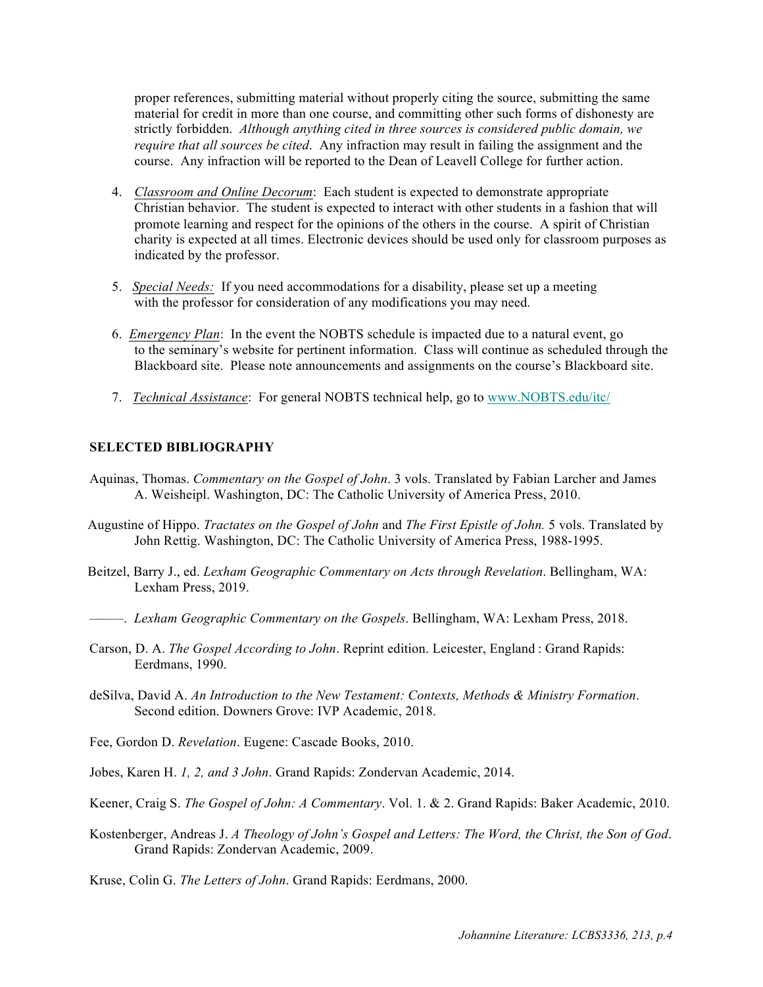proper references, submitting material without properly citing the source, submitting the same material for credit in more than one course, and committing other such forms of dishonesty are strictly forbidden. *Although anything cited in three sources is considered public domain, we require that all sources be cited*. Any infraction may result in failing the assignment and the course. Any infraction will be reported to the Dean of Leavell College for further action.

- 4. *Classroom and Online Decorum*: Each student is expected to demonstrate appropriate Christian behavior. The student is expected to interact with other students in a fashion that will promote learning and respect for the opinions of the others in the course. A spirit of Christian charity is expected at all times. Electronic devices should be used only for classroom purposes as indicated by the professor.
- 5. *Special Needs:* If you need accommodations for a disability, please set up a meeting with the professor for consideration of any modifications you may need.
- 6. *Emergency Plan*: In the event the NOBTS schedule is impacted due to a natural event, go to the seminary's website for pertinent information. Class will continue as scheduled through the Blackboard site. Please note announcements and assignments on the course's Blackboard site.
- 7. *Technical Assistance*: For general NOBTS technical help, go to www.NOBTS.edu/itc/

### **SELECTED BIBLIOGRAPHY**

- Aquinas, Thomas. *Commentary on the Gospel of John*. 3 vols. Translated by Fabian Larcher and James A. Weisheipl. Washington, DC: The Catholic University of America Press, 2010.
- Augustine of Hippo. *Tractates on the Gospel of John* and *The First Epistle of John.* 5 vols. Translated by John Rettig. Washington, DC: The Catholic University of America Press, 1988-1995.
- Beitzel, Barry J., ed. *Lexham Geographic Commentary on Acts through Revelation*. Bellingham, WA: Lexham Press, 2019.
- –––––. *Lexham Geographic Commentary on the Gospels*. Bellingham, WA: Lexham Press, 2018.
- Carson, D. A. *The Gospel According to John*. Reprint edition. Leicester, England : Grand Rapids: Eerdmans, 1990.
- deSilva, David A. *An Introduction to the New Testament: Contexts, Methods & Ministry Formation*. Second edition. Downers Grove: IVP Academic, 2018.
- Fee, Gordon D. *Revelation*. Eugene: Cascade Books, 2010.
- Jobes, Karen H. *1, 2, and 3 John*. Grand Rapids: Zondervan Academic, 2014.
- Keener, Craig S. *The Gospel of John: A Commentary*. Vol. 1. & 2. Grand Rapids: Baker Academic, 2010.
- Kostenberger, Andreas J. *A Theology of John's Gospel and Letters: The Word, the Christ, the Son of God*. Grand Rapids: Zondervan Academic, 2009.

Kruse, Colin G. *The Letters of John*. Grand Rapids: Eerdmans, 2000.